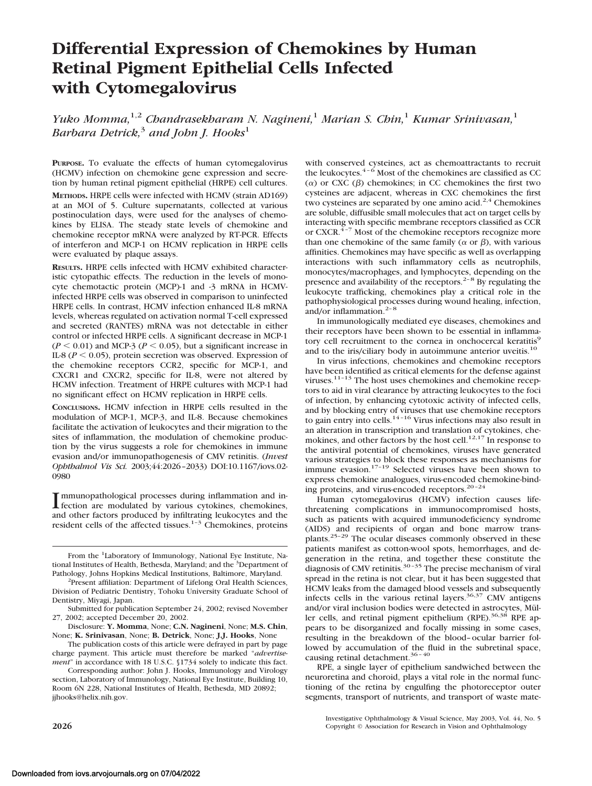# **Differential Expression of Chemokines by Human Retinal Pigment Epithelial Cells Infected with Cytomegalovirus**

*Yuko Momma,*1,2 *Chandrasekharam N. Nagineni,*<sup>1</sup> *Marian S. Chin,*<sup>1</sup> *Kumar Srinivasan,*<sup>1</sup> *Barbara Detrick,*<sup>3</sup> *and John J. Hooks*<sup>1</sup>

**PURPOSE.** To evaluate the effects of human cytomegalovirus (HCMV) infection on chemokine gene expression and secretion by human retinal pigment epithelial (HRPE) cell cultures.

**METHODS.** HRPE cells were infected with HCMV (strain AD169) at an MOI of 5. Culture supernatants, collected at various postinoculation days, were used for the analyses of chemokines by ELISA. The steady state levels of chemokine and chemokine receptor mRNA were analyzed by RT-PCR. Effects of interferon and MCP-1 on HCMV replication in HRPE cells were evaluated by plaque assays.

**RESULTS.** HRPE cells infected with HCMV exhibited characteristic cytopathic effects. The reduction in the levels of monocyte chemotactic protein (MCP)-1 and -3 mRNA in HCMVinfected HRPE cells was observed in comparison to uninfected HRPE cells. In contrast, HCMV infection enhanced IL-8 mRNA levels, whereas regulated on activation normal T-cell expressed and secreted (RANTES) mRNA was not detectable in either control or infected HRPE cells. A significant decrease in MCP-1  $(P \le 0.01)$  and MCP-3 ( $P \le 0.05$ ), but a significant increase in IL-8 ( $P < 0.05$ ), protein secretion was observed. Expression of the chemokine receptors CCR2, specific for MCP-1, and CXCR1 and CXCR2, specific for IL-8, were not altered by HCMV infection. Treatment of HRPE cultures with MCP-1 had no significant effect on HCMV replication in HRPE cells.

**CONCLUSIONS.** HCMV infection in HRPE cells resulted in the modulation of MCP-1, MCP-3, and IL-8. Because chemokines facilitate the activation of leukocytes and their migration to the sites of inflammation, the modulation of chemokine production by the virus suggests a role for chemokines in immune evasion and/or immunopathogenesis of CMV retinitis. (*Invest Ophthalmol Vis Sci.* 2003;44:2026–2033) DOI:10.1167/iovs.02- 0980

Immunopathological processes during inflammation and in-<br>fection are modulated by various cytokines, chemokines, fection are modulated by various cytokines, chemokines, and other factors produced by infiltrating leukocytes and the resident cells of the affected tissues.<sup>1-3</sup> Chemokines, proteins

with conserved cysteines, act as chemoattractants to recruit the leukocytes.<sup>4–6</sup> Most of the chemokines are classified as CC ( $α$ ) or CXC ( $β$ ) chemokines; in CC chemokines the first two cysteines are adjacent, whereas in CXC chemokines the first two cysteines are separated by one amino acid.<sup>2,4</sup> Chemokines are soluble, diffusible small molecules that act on target cells by interacting with specific membrane receptors classified as CCR or CXCR.<sup>4-7</sup> Most of the chemokine receptors recognize more than one chemokine of the same family ( $\alpha$  or  $\beta$ ), with various affinities. Chemokines may have specific as well as overlapping interactions with such inflammatory cells as neutrophils, monocytes/macrophages, and lymphocytes, depending on the presence and availability of the receptors.<sup>2-8</sup> By regulating the leukocyte trafficking, chemokines play a critical role in the pathophysiological processes during wound healing, infection, and/or inflammation. $2-8$ 

In immunologically mediated eye diseases, chemokines and their receptors have been shown to be essential in inflammatory cell recruitment to the cornea in onchocercal keratitis<sup>9</sup> and to the iris/ciliary body in autoimmune anterior uveitis.<sup>10</sup>

In virus infections, chemokines and chemokine receptors have been identified as critical elements for the defense against viruses.<sup>11-13</sup> The host uses chemokines and chemokine receptors to aid in viral clearance by attracting leukocytes to the foci of infection, by enhancing cytotoxic activity of infected cells, and by blocking entry of viruses that use chemokine receptors to gain entry into cells.<sup>14-16</sup> Virus infections may also result in an alteration in transcription and translation of cytokines, chemokines, and other factors by the host cell.<sup>12,17</sup> In response to the antiviral potential of chemokines, viruses have generated various strategies to block these responses as mechanisms for immune evasion.17–19 Selected viruses have been shown to express chemokine analogues, virus-encoded chemokine-binding proteins, and virus-encoded receptors.<sup>20-24</sup>

Human cytomegalovirus (HCMV) infection causes lifethreatening complications in immunocompromised hosts, such as patients with acquired immunodeficiency syndrome (AIDS) and recipients of organ and bone marrow transplants.25–29 The ocular diseases commonly observed in these patients manifest as cotton-wool spots, hemorrhages, and degeneration in the retina, and together these constitute the diagnosis of CMV retinitis.<sup>30-35</sup> The precise mechanism of viral spread in the retina is not clear, but it has been suggested that HCMV leaks from the damaged blood vessels and subsequently infects cells in the various retinal layers. $36,37$  CMV antigens and/or viral inclusion bodies were detected in astrocytes, Müller cells, and retinal pigment epithelium (RPE).<sup>36,38</sup> RPE appears to be disorganized and focally missing in some cases, resulting in the breakdown of the blood–ocular barrier followed by accumulation of the fluid in the subretinal space, causing retinal detachment.<sup>36-40</sup>

RPE, a single layer of epithelium sandwiched between the neuroretina and choroid, plays a vital role in the normal functioning of the retina by engulfing the photoreceptor outer segments, transport of nutrients, and transport of waste mate-

From the <sup>1</sup>Laboratory of Immunology, National Eye Institute, National Institutes of Health, Bethesda, Maryland; and the <sup>3</sup>Department of Pathology, Johns Hopkins Medical Institutions, Baltimore, Maryland. <sup>2</sup>

<sup>&</sup>lt;sup>2</sup>Present affiliation: Department of Lifelong Oral Health Sciences, Division of Pediatric Dentistry, Tohoku University Graduate School of Dentistry, Miyagi, Japan.

Submitted for publication September 24, 2002; revised November 27, 2002; accepted December 20, 2002.

Disclosure: **Y. Momma**, None; **C.N. Nagineni**, None; **M.S. Chin**, None; **K. Srinivasan**, None; **B. Detrick**, None; **J.J. Hooks**, None

The publication costs of this article were defrayed in part by page charge payment. This article must therefore be marked "*advertisement*" in accordance with 18 U.S.C. §1734 solely to indicate this fact.

Corresponding author: John J. Hooks, Immunology and Virology section, Laboratory of Immunology, National Eye Institute, Building 10, Room 6N 228, National Institutes of Health, Bethesda, MD 20892; jjhooks@helix.nih.gov.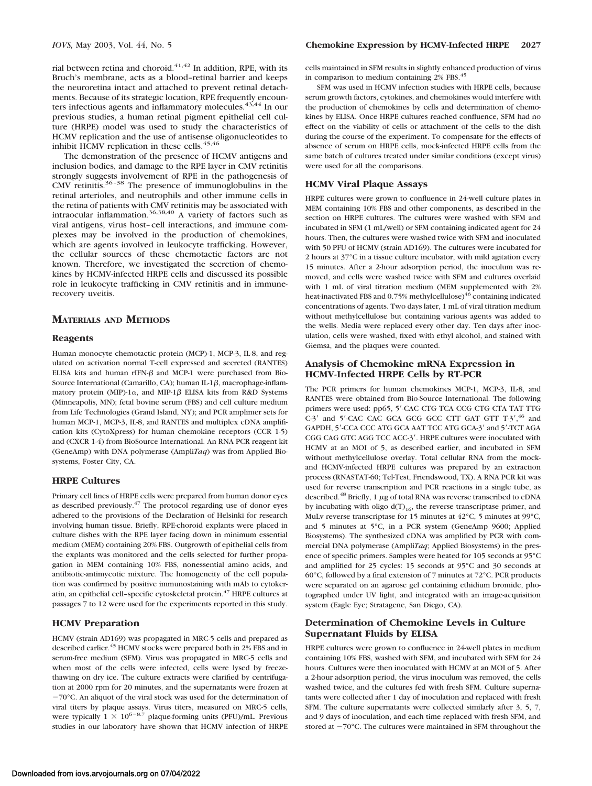rial between retina and choroid. $41,42$  In addition, RPE, with its Bruch's membrane, acts as a blood–retinal barrier and keeps the neuroretina intact and attached to prevent retinal detachments. Because of its strategic location, RPE frequently encounters infectious agents and inflammatory molecules.<sup>43,44</sup> In our previous studies, a human retinal pigment epithelial cell culture (HRPE) model was used to study the characteristics of HCMV replication and the use of antisense oligonucleotides to inhibit HCMV replication in these cells. $45,46$ 

The demonstration of the presence of HCMV antigens and inclusion bodies, and damage to the RPE layer in CMV retinitis strongly suggests involvement of RPE in the pathogenesis of CMV retinitis.36–38 The presence of immunoglobulins in the retinal arterioles, and neutrophils and other immune cells in the retina of patients with CMV retinitis may be associated with intraocular inflammation.36,38,40 A variety of factors such as viral antigens, virus host–cell interactions, and immune complexes may be involved in the production of chemokines, which are agents involved in leukocyte trafficking. However, the cellular sources of these chemotactic factors are not known. Therefore, we investigated the secretion of chemokines by HCMV-infected HRPE cells and discussed its possible role in leukocyte trafficking in CMV retinitis and in immunerecovery uveitis.

# **MATERIALS AND METHODS**

### **Reagents**

Human monocyte chemotactic protein (MCP)-1, MCP-3, IL-8, and regulated on activation normal T-cell expressed and secreted (RANTES) ELISA kits and human rIFN- $\beta$  and MCP-1 were purchased from Bio-Source International (Camarillo, CA); human IL-1 $\beta$ , macrophage-inflammatory protein (MIP)-1 $\alpha$ , and MIP-1 $\beta$  ELISA kits from R&D Systems (Minneapolis, MN); fetal bovine serum (FBS) and cell culture medium from Life Technologies (Grand Island, NY); and PCR amplimer sets for human MCP-1, MCP-3, IL-8, and RANTES and multiplex cDNA amplification kits (CytoXpress) for human chemokine receptors (CCR 1-5) and (CXCR 1-4) from BioSource International. An RNA PCR reagent kit (GeneAmp) with DNA polymerase (Ampli*Taq*) was from Applied Biosystems, Foster City, CA.

## **HRPE Cultures**

Primary cell lines of HRPE cells were prepared from human donor eyes as described previously. $47$  The protocol regarding use of donor eyes adhered to the provisions of the Declaration of Helsinki for research involving human tissue. Briefly, RPE-choroid explants were placed in culture dishes with the RPE layer facing down in minimum essential medium (MEM) containing 20% FBS. Outgrowth of epithelial cells from the explants was monitored and the cells selected for further propagation in MEM containing 10% FBS, nonessential amino acids, and antibiotic-antimycotic mixture. The homogeneity of the cell population was confirmed by positive immunostaining with mAb to cytokeratin, an epithelial cell-specific cytoskeletal protein.<sup>47</sup> HRPE cultures at passages 7 to 12 were used for the experiments reported in this study.

# **HCMV Preparation**

HCMV (strain AD169) was propagated in MRC-5 cells and prepared as described earlier.<sup>45</sup> HCMV stocks were prepared both in 2% FBS and in serum-free medium (SFM). Virus was propagated in MRC-5 cells and when most of the cells were infected, cells were lysed by freezethawing on dry ice. The culture extracts were clarified by centrifugation at 2000 rpm for 20 minutes, and the supernatants were frozen at -70°C. An aliquot of the viral stock was used for the determination of viral titers by plaque assays. Virus titers, measured on MRC-5 cells, were typically  $1 \times 10^{6-8.7}$  plaque-forming units (PFU)/mL. Previous studies in our laboratory have shown that HCMV infection of HRPE

cells maintained in SFM results in slightly enhanced production of virus in comparison to medium containing 2% FBS.<sup>45</sup>

SFM was used in HCMV infection studies with HRPE cells, because serum growth factors, cytokines, and chemokines would interfere with the production of chemokines by cells and determination of chemokines by ELISA. Once HRPE cultures reached confluence, SFM had no effect on the viability of cells or attachment of the cells to the dish during the course of the experiment. To compensate for the effects of absence of serum on HRPE cells, mock-infected HRPE cells from the same batch of cultures treated under similar conditions (except virus) were used for all the comparisons.

## **HCMV Viral Plaque Assays**

HRPE cultures were grown to confluence in 24-well culture plates in MEM containing 10% FBS and other components, as described in the section on HRPE cultures. The cultures were washed with SFM and incubated in SFM (1 mL/well) or SFM containing indicated agent for 24 hours. Then, the cultures were washed twice with SFM and inoculated with 50 PFU of HCMV (strain AD169). The cultures were incubated for 2 hours at 37°C in a tissue culture incubator, with mild agitation every 15 minutes. After a 2-hour adsorption period, the inoculum was removed, and cells were washed twice with SFM and cultures overlaid with 1 mL of viral titration medium (MEM supplemented with 2% heat-inactivated FBS and 0.75% methylcellulose)<sup>46</sup> containing indicated concentrations of agents. Two days later, 1 mL of viral titration medium without methylcellulose but containing various agents was added to the wells. Media were replaced every other day. Ten days after inoculation, cells were washed, fixed with ethyl alcohol, and stained with Giemsa, and the plaques were counted.

## **Analysis of Chemokine mRNA Expression in HCMV-Infected HRPE Cells by RT-PCR**

The PCR primers for human chemokines MCP-1, MCP-3, IL-8, and RANTES were obtained from Bio-Source International. The following primers were used: pp65, 5'-CAC CTG TCA CCG CTG CTA TAT TTG C-3' and 5'-CAC CAC GCA GCG GCC CTT GAT GTT T-3',<sup>46</sup> and GAPDH, 5'-CCA CCC ATG GCA AAT TCC ATG GCA-3' and 5'-TCT AGA CGG CAG GTC AGG TCC ACC-3'. HRPE cultures were inoculated with HCMV at an MOI of 5, as described earlier, and incubated in SFM without methylcellulose overlay. Total cellular RNA from the mockand HCMV-infected HRPE cultures was prepared by an extraction process (RNASTAT-60; Tel-Test, Friendswood, TX). A RNA PCR kit was used for reverse transcription and PCR reactions in a single tube, as described.<sup>48</sup> Briefly, 1  $\mu$ g of total RNA was reverse transcribed to cDNA by incubating with oligo  $d(T)_{16}$ , the reverse transcriptase primer, and MuLv reverse transcriptase for 15 minutes at 42°C, 5 minutes at 99°C, and 5 minutes at 5°C, in a PCR system (GeneAmp 9600; Applied Biosystems). The synthesized cDNA was amplified by PCR with commercial DNA polymerase (Ampli*Taq*; Applied Biosystems) in the presence of specific primers. Samples were heated for 105 seconds at 95°C and amplified for 25 cycles: 15 seconds at 95°C and 30 seconds at 60°C, followed by a final extension of 7 minutes at 72°C. PCR products were separated on an agarose gel containing ethidium bromide, photographed under UV light, and integrated with an image-acquisition system (Eagle Eye; Stratagene, San Diego, CA).

# **Determination of Chemokine Levels in Culture Supernatant Fluids by ELISA**

HRPE cultures were grown to confluence in 24-well plates in medium containing 10% FBS, washed with SFM, and incubated with SFM for 24 hours. Cultures were then inoculated with HCMV at an MOI of 5. After a 2-hour adsorption period, the virus inoculum was removed, the cells washed twice, and the cultures fed with fresh SFM. Culture supernatants were collected after 1 day of inoculation and replaced with fresh SFM. The culture supernatants were collected similarly after 3, 5, 7, and 9 days of inoculation, and each time replaced with fresh SFM, and stored at  $-70^{\circ}$ C. The cultures were maintained in SFM throughout the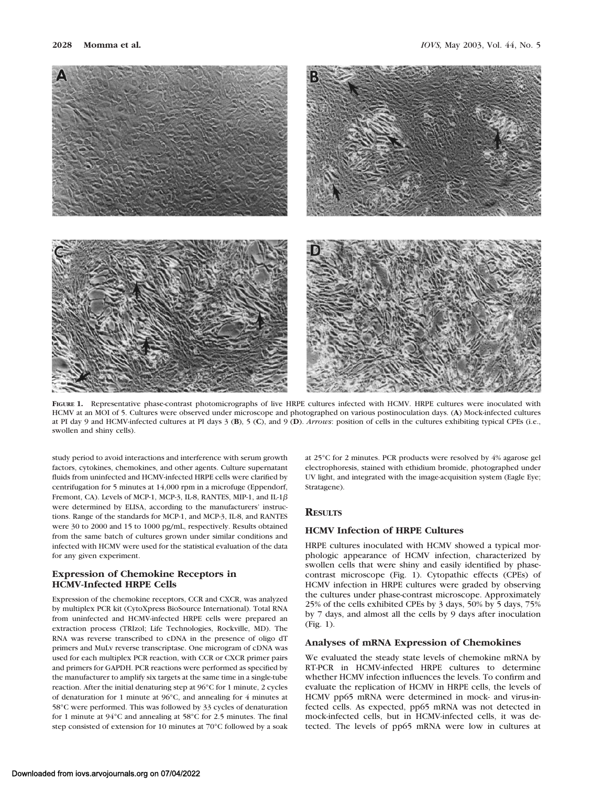

**FIGURE 1.** Representative phase-contrast photomicrographs of live HRPE cultures infected with HCMV. HRPE cultures were inoculated with HCMV at an MOI of 5. Cultures were observed under microscope and photographed on various postinoculation days. (**A**) Mock-infected cultures at PI day 9 and HCMV-infected cultures at PI days 3 (**B**), 5 (**C**), and 9 (**D**). *Arrows*: position of cells in the cultures exhibiting typical CPEs (i.e., swollen and shiny cells).

study period to avoid interactions and interference with serum growth factors, cytokines, chemokines, and other agents. Culture supernatant fluids from uninfected and HCMV-infected HRPE cells were clarified by centrifugation for 5 minutes at 14,000 rpm in a microfuge (Eppendorf, Fremont, CA). Levels of MCP-1, MCP-3, IL-8, RANTES, MIP-1, and IL-1 $\beta$ were determined by ELISA, according to the manufacturers' instructions. Range of the standards for MCP-1, and MCP-3, IL-8, and RANTES were 30 to 2000 and 15 to 1000 pg/mL, respectively. Results obtained from the same batch of cultures grown under similar conditions and infected with HCMV were used for the statistical evaluation of the data for any given experiment.

# **Expression of Chemokine Receptors in HCMV-Infected HRPE Cells**

Expression of the chemokine receptors, CCR and CXCR, was analyzed by multiplex PCR kit (CytoXpress BioSource International). Total RNA from uninfected and HCMV-infected HRPE cells were prepared an extraction process (TRIzol; Life Technologies, Rockville, MD). The RNA was reverse transcribed to cDNA in the presence of oligo dT primers and MuLv reverse transcriptase. One microgram of cDNA was used for each multiplex PCR reaction, with CCR or CXCR primer pairs and primers for GAPDH. PCR reactions were performed as specified by the manufacturer to amplify six targets at the same time in a single-tube reaction. After the initial denaturing step at 96°C for 1 minute, 2 cycles of denaturation for 1 minute at 96°C, and annealing for 4 minutes at 58°C were performed. This was followed by 33 cycles of denaturation for 1 minute at 94°C and annealing at 58°C for 2.5 minutes. The final step consisted of extension for 10 minutes at 70°C followed by a soak

at 25°C for 2 minutes. PCR products were resolved by 4% agarose gel electrophoresis, stained with ethidium bromide, photographed under UV light, and integrated with the image-acquisition system (Eagle Eye; Stratagene).

# **RESULTS**

# **HCMV Infection of HRPE Cultures**

HRPE cultures inoculated with HCMV showed a typical morphologic appearance of HCMV infection, characterized by swollen cells that were shiny and easily identified by phasecontrast microscope (Fig. 1). Cytopathic effects (CPEs) of HCMV infection in HRPE cultures were graded by observing the cultures under phase-contrast microscope. Approximately 25% of the cells exhibited CPEs by 3 days, 50% by 5 days, 75% by 7 days, and almost all the cells by 9 days after inoculation (Fig. 1).

#### **Analyses of mRNA Expression of Chemokines**

We evaluated the steady state levels of chemokine mRNA by RT-PCR in HCMV-infected HRPE cultures to determine whether HCMV infection influences the levels. To confirm and evaluate the replication of HCMV in HRPE cells, the levels of HCMV pp65 mRNA were determined in mock- and virus-infected cells. As expected, pp65 mRNA was not detected in mock-infected cells, but in HCMV-infected cells, it was detected. The levels of pp65 mRNA were low in cultures at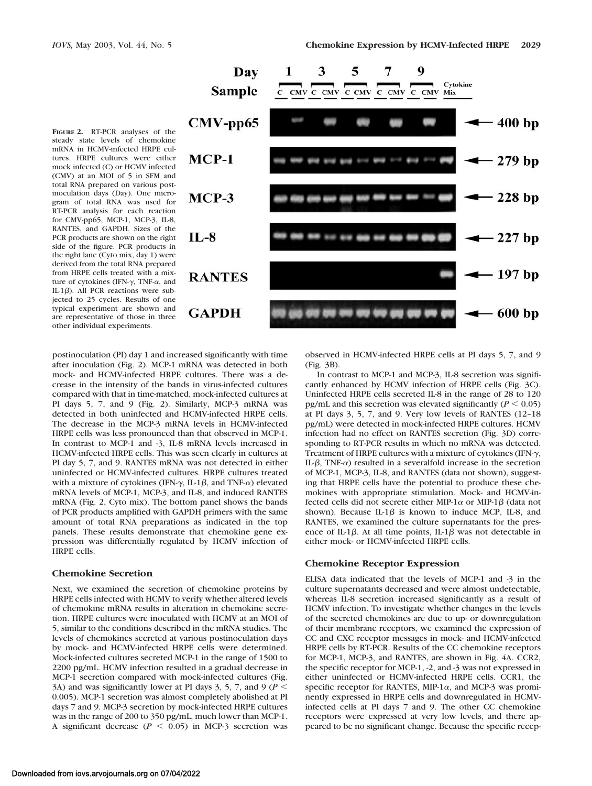



postinoculation (PI) day 1 and increased significantly with time after inoculation (Fig. 2). MCP-1 mRNA was detected in both mock- and HCMV-infected HRPE cultures. There was a decrease in the intensity of the bands in virus-infected cultures compared with that in time-matched, mock-infected cultures at PI days 5, 7, and 9 (Fig. 2). Similarly, MCP-3 mRNA was detected in both uninfected and HCMV-infected HRPE cells. The decrease in the MCP-3 mRNA levels in HCMV-infected HRPE cells was less pronounced than that observed in MCP-1. In contrast to MCP-1 and -3, IL-8 mRNA levels increased in HCMV-infected HRPE cells. This was seen clearly in cultures at PI day 5, 7, and 9. RANTES mRNA was not detected in either uninfected or HCMV-infected cultures. HRPE cultures treated with a mixture of cytokines (IFN- $\gamma$ , IL-1 $\beta$ , and TNF- $\alpha$ ) elevated mRNA levels of MCP-1, MCP-3, and IL-8, and induced RANTES mRNA (Fig. 2, Cyto mix). The bottom panel shows the bands of PCR products amplified with GAPDH primers with the same amount of total RNA preparations as indicated in the top panels. These results demonstrate that chemokine gene expression was differentially regulated by HCMV infection of HRPE cells.

### **Chemokine Secretion**

Next, we examined the secretion of chemokine proteins by HRPE cells infected with HCMV to verify whether altered levels of chemokine mRNA results in alteration in chemokine secretion. HRPE cultures were inoculated with HCMV at an MOI of 5, similar to the conditions described in the mRNA studies. The levels of chemokines secreted at various postinoculation days by mock- and HCMV-infected HRPE cells were determined. Mock-infected cultures secreted MCP-1 in the range of 1500 to 2200 pg/mL. HCMV infection resulted in a gradual decrease in MCP-1 secretion compared with mock-infected cultures (Fig. 3A) and was significantly lower at PI days 3, 5, 7, and 9 ( $P$  < 0.005). MCP-1 secretion was almost completely abolished at PI days 7 and 9. MCP-3 secretion by mock-infected HRPE cultures was in the range of 200 to 350 pg/mL, much lower than MCP-1. A significant decrease ( $P < 0.05$ ) in MCP-3 secretion was

observed in HCMV-infected HRPE cells at PI days 5, 7, and 9 (Fig. 3B).

In contrast to MCP-1 and MCP-3, IL-8 secretion was significantly enhanced by HCMV infection of HRPE cells (Fig. 3C). Uninfected HRPE cells secreted IL-8 in the range of 28 to 120 pg/mL and this secretion was elevated significantly ( $P \le 0.05$ ) at PI days 3, 5, 7, and 9. Very low levels of RANTES (12–18 pg/mL) were detected in mock-infected HRPE cultures. HCMV infection had no effect on RANTES secretion (Fig. 3D) corresponding to RT-PCR results in which no mRNA was detected. Treatment of HRPE cultures with a mixture of cytokines (IFN- $\gamma$ , IL- $\beta$ , TNF- $\alpha$ ) resulted in a severalfold increase in the secretion of MCP-1, MCP-3, IL-8, and RANTES (data not shown), suggesting that HRPE cells have the potential to produce these chemokines with appropriate stimulation. Mock- and HCMV-infected cells did not secrete either MIP-1 $\alpha$  or MIP-1 $\beta$  (data not shown). Because IL-1 $\beta$  is known to induce MCP, IL-8, and RANTES, we examined the culture supernatants for the presence of IL-1 $\beta$ . At all time points, IL-1 $\beta$  was not detectable in either mock- or HCMV-infected HRPE cells.

#### **Chemokine Receptor Expression**

ELISA data indicated that the levels of MCP-1 and -3 in the culture supernatants decreased and were almost undetectable, whereas IL-8 secretion increased significantly as a result of HCMV infection. To investigate whether changes in the levels of the secreted chemokines are due to up- or downregulation of their membrane receptors, we examined the expression of CC and CXC receptor messages in mock- and HCMV-infected HRPE cells by RT-PCR. Results of the CC chemokine receptors for MCP-1, MCP-3, and RANTES, are shown in Fig. 4A. CCR2, the specific receptor for MCP-1, -2, and -3 was not expressed in either uninfected or HCMV-infected HRPE cells. CCR1, the specific receptor for RANTES, MIP-1 $\alpha$ , and MCP-3 was prominently expressed in HRPE cells and downregulated in HCMVinfected cells at PI days 7 and 9. The other CC chemokine receptors were expressed at very low levels, and there appeared to be no significant change. Because the specific recep-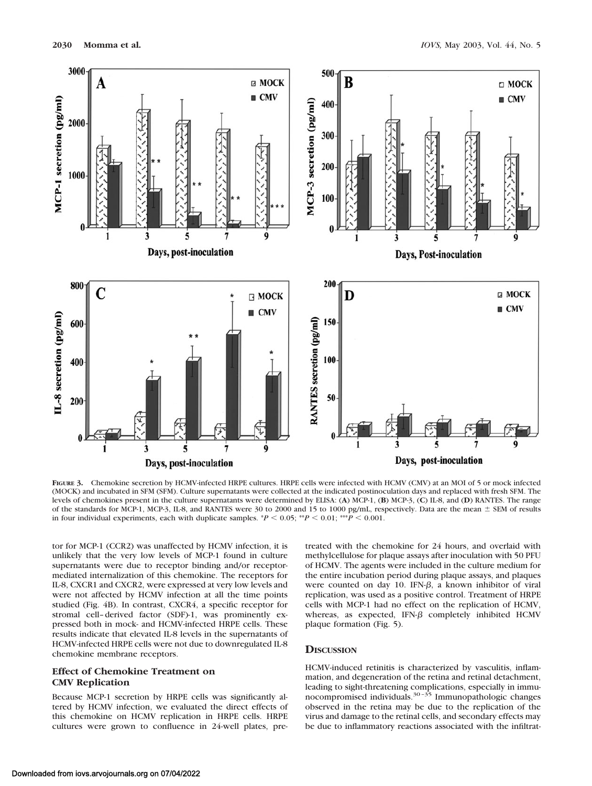

**FIGURE 3.** Chemokine secretion by HCMV-infected HRPE cultures. HRPE cells were infected with HCMV (CMV) at an MOI of 5 or mock infected (MOCK) and incubated in SFM (SFM). Culture supernatants were collected at the indicated postinoculation days and replaced with fresh SFM. The levels of chemokines present in the culture supernatants were determined by ELISA: (**A**) MCP-1, (**B**) MCP-3, (**C**) IL-8, and (**D**) RANTES. The range of the standards for MCP-1, MCP-3, IL-8, and RANTES were 30 to 2000 and 15 to 1000 pg/mL, respectively. Data are the mean SEM of results in four individual experiments, each with duplicate samples. \**P* 0.05; \*\**P* 0.01; \*\*\**P* 0.001.

tor for MCP-1 (CCR2) was unaffected by HCMV infection, it is unlikely that the very low levels of MCP-1 found in culture supernatants were due to receptor binding and/or receptormediated internalization of this chemokine. The receptors for IL-8, CXCR1 and CXCR2, were expressed at very low levels and were not affected by HCMV infection at all the time points studied (Fig. 4B). In contrast, CXCR4, a specific receptor for stromal cell–derived factor (SDF)-1, was prominently expressed both in mock- and HCMV-infected HRPE cells. These results indicate that elevated IL-8 levels in the supernatants of HCMV-infected HRPE cells were not due to downregulated IL-8 chemokine membrane receptors.

# **Effect of Chemokine Treatment on CMV Replication**

Because MCP-1 secretion by HRPE cells was significantly altered by HCMV infection, we evaluated the direct effects of this chemokine on HCMV replication in HRPE cells. HRPE cultures were grown to confluence in 24-well plates, pretreated with the chemokine for 24 hours, and overlaid with methylcellulose for plaque assays after inoculation with 50 PFU of HCMV. The agents were included in the culture medium for the entire incubation period during plaque assays, and plaques were counted on day 10. IFN- $\beta$ , a known inhibitor of viral replication, was used as a positive control. Treatment of HRPE cells with MCP-1 had no effect on the replication of HCMV, whereas, as expected, IFN- $\beta$  completely inhibited HCMV plaque formation (Fig. 5).

## **DISCUSSION**

HCMV-induced retinitis is characterized by vasculitis, inflammation, and degeneration of the retina and retinal detachment, leading to sight-threatening complications, especially in immunocompromised individuals.30–35 Immunopathologic changes observed in the retina may be due to the replication of the virus and damage to the retinal cells, and secondary effects may be due to inflammatory reactions associated with the infiltrat-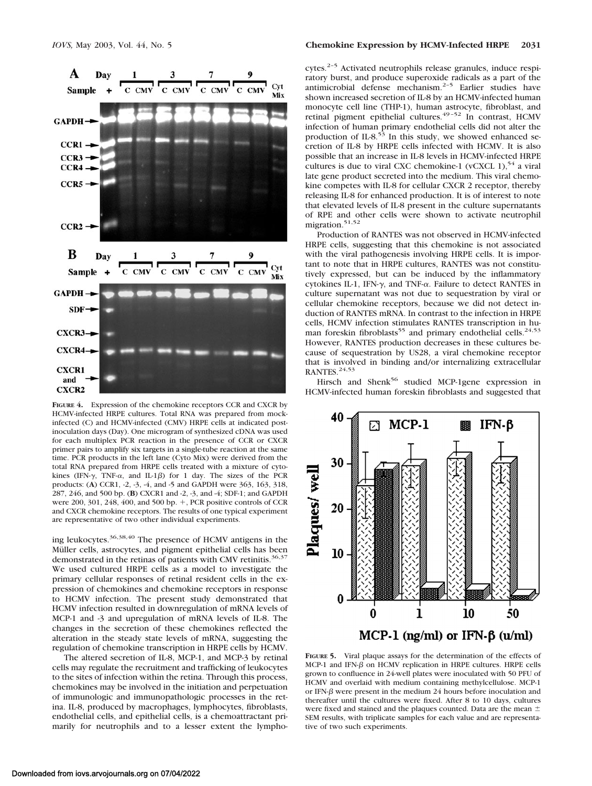

**FIGURE 4.** Expression of the chemokine receptors CCR and CXCR by HCMV-infected HRPE cultures. Total RNA was prepared from mockinfected (C) and HCMV-infected (CMV) HRPE cells at indicated postinoculation days (Day). One microgram of synthesized cDNA was used for each multiplex PCR reaction in the presence of CCR or CXCR primer pairs to amplify six targets in a single-tube reaction at the same time. PCR products in the left lane (Cyto Mix) were derived from the total RNA prepared from HRPE cells treated with a mixture of cytokines (IFN- $\gamma$ , TNF- $\alpha$ , and IL-1 $\beta$ ) for 1 day. The sizes of the PCR products: (**A**) CCR1, -2, -3, -4, and -5 and GAPDH were 363, 163, 318, 287, 246, and 500 bp. (**B**) CXCR1 and -2, -3, and -4; SDF-1; and GAPDH were 200, 301, 248, 400, and 500 bp.  $+$ , PCR positive controls of CCR and CXCR chemokine receptors. The results of one typical experiment are representative of two other individual experiments.

ing leukocytes.36,38,40 The presence of HCMV antigens in the Müller cells, astrocytes, and pigment epithelial cells has been demonstrated in the retinas of patients with CMV retinitis.<sup>36,37</sup> We used cultured HRPE cells as a model to investigate the primary cellular responses of retinal resident cells in the expression of chemokines and chemokine receptors in response to HCMV infection. The present study demonstrated that HCMV infection resulted in downregulation of mRNA levels of MCP-1 and -3 and upregulation of mRNA levels of IL-8. The changes in the secretion of these chemokines reflected the alteration in the steady state levels of mRNA, suggesting the regulation of chemokine transcription in HRPE cells by HCMV.

The altered secretion of IL-8, MCP-1, and MCP-3 by retinal cells may regulate the recruitment and trafficking of leukocytes to the sites of infection within the retina. Through this process, chemokines may be involved in the initiation and perpetuation of immunologic and immunopathologic processes in the retina. IL-8, produced by macrophages, lymphocytes, fibroblasts, endothelial cells, and epithelial cells, is a chemoattractant primarily for neutrophils and to a lesser extent the lympho-

cytes.<sup>2-5</sup> Activated neutrophils release granules, induce respiratory burst, and produce superoxide radicals as a part of the antimicrobial defense mechanism.<sup>2-5</sup> Earlier studies have shown increased secretion of IL-8 by an HCMV-infected human monocyte cell line (THP-1), human astrocyte, fibroblast, and retinal pigment epithelial cultures.<sup>49-52</sup> In contrast, HCMV infection of human primary endothelial cells did not alter the production of IL-8.<sup>53</sup> In this study, we showed enhanced secretion of IL-8 by HRPE cells infected with HCMV. It is also possible that an increase in IL-8 levels in HCMV-infected HRPE cultures is due to viral CXC chemokine-1 (vCXCL 1), $54$  a viral late gene product secreted into the medium. This viral chemokine competes with IL-8 for cellular CXCR 2 receptor, thereby releasing IL-8 for enhanced production. It is of interest to note that elevated levels of IL-8 present in the culture supernatants of RPE and other cells were shown to activate neutrophil migration.<sup>51,52</sup>

Production of RANTES was not observed in HCMV-infected HRPE cells, suggesting that this chemokine is not associated with the viral pathogenesis involving HRPE cells. It is important to note that in HRPE cultures, RANTES was not constitutively expressed, but can be induced by the inflammatory cytokines IL-1, IFN- $\gamma$ , and TNF- $\alpha$ . Failure to detect RANTES in culture supernatant was not due to sequestration by viral or cellular chemokine receptors, because we did not detect induction of RANTES mRNA. In contrast to the infection in HRPE cells, HCMV infection stimulates RANTES transcription in human foreskin fibroblasts<sup>55</sup> and primary endothelial cells.<sup>24,53</sup> However, RANTES production decreases in these cultures because of sequestration by US28, a viral chemokine receptor that is involved in binding and/or internalizing extracellular RANTES.<sup>24,53</sup>

Hirsch and Shenk<sup>56</sup> studied MCP-1gene expression in HCMV-infected human foreskin fibroblasts and suggested that



**FIGURE 5.** Viral plaque assays for the determination of the effects of  $MCP-1$  and IFN- $\beta$  on HCMV replication in HRPE cultures. HRPE cells grown to confluence in 24-well plates were inoculated with 50 PFU of HCMV and overlaid with medium containing methylcellulose. MCP-1 or IFN- $\beta$  were present in the medium 24 hours before inoculation and thereafter until the cultures were fixed. After 8 to 10 days, cultures were fixed and stained and the plaques counted. Data are the mean  $\pm$ SEM results, with triplicate samples for each value and are representative of two such experiments.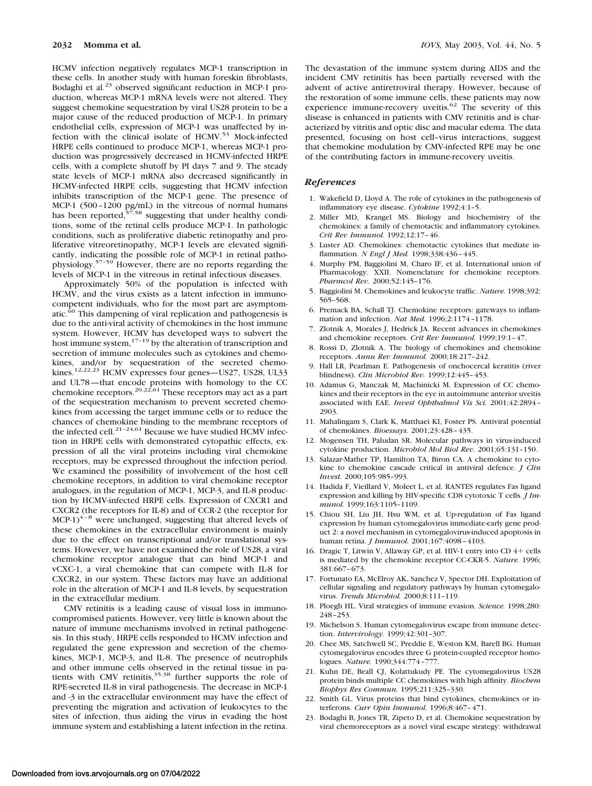HCMV infection negatively regulates MCP-1 transcription in these cells. In another study with human foreskin fibroblasts, Bodaghi et al.<sup>23</sup> observed significant reduction in MCP-1 production, whereas MCP-1 mRNA levels were not altered. They suggest chemokine sequestration by viral US28 protein to be a major cause of the reduced production of MCP-1. In primary endothelial cells, expression of MCP-1 was unaffected by infection with the clinical isolate of HCMV.<sup>53</sup> Mock-infected HRPE cells continued to produce MCP-1, whereas MCP-1 production was progressively decreased in HCMV-infected HRPE cells, with a complete shutoff by PI days 7 and 9. The steady state levels of MCP-1 mRNA also decreased significantly in HCMV-infected HRPE cells, suggesting that HCMV infection inhibits transcription of the MCP-1 gene. The presence of MCP-1 (500–1200 pg/mL) in the vitreous of normal humans has been reported, $57,58$  suggesting that under healthy conditions, some of the retinal cells produce MCP-1. In pathologic conditions, such as proliferative diabetic retinopathy and proliferative vitreoretinopathy, MCP-1 levels are elevated significantly, indicating the possible role of MCP-1 in retinal pathophysiology.57–59 However, there are no reports regarding the levels of MCP-1 in the vitreous in retinal infectious diseases.

Approximately 50% of the population is infected with HCMV, and the virus exists as a latent infection in immunocompetent individuals, who for the most part are asymptomatic.60 This dampening of viral replication and pathogenesis is due to the anti-viral activity of chemokines in the host immune system. However, HCMV has developed ways to subvert the host immune system, $17-19$  by the alteration of transcription and secretion of immune molecules such as cytokines and chemokines, and/or by sequestration of the secreted chemo-<br>kines.<sup>12,22,23</sup> HCMV expresses four genes—US27, US28, UL33 and UL78—that encode proteins with homology to the CC chemokine receptors.<sup>20,22,61</sup> These receptors may act as a part of the sequestration mechanism to prevent secreted chemokines from accessing the target immune cells or to reduce the chances of chemokine binding to the membrane receptors of the infected cell.<sup>21–24,61</sup> Because we have studied HCMV infection in HRPE cells with demonstrated cytopathic effects, expression of all the viral proteins including viral chemokine receptors, may be expressed throughout the infection period. We examined the possibility of involvement of the host cell chemokine receptors, in addition to viral chemokine receptor analogues, in the regulation of MCP-1, MCP-3, and IL-8 production by HCMV-infected HRPE cells. Expression of CXCR1 and CXCR2 (the receptors for IL-8) and of CCR-2 (the receptor for  $MCP-1$ <sup>4–8</sup> were unchanged, suggesting that altered levels of these chemokines in the extracellular environment is mainly due to the effect on transcriptional and/or translational systems. However, we have not examined the role of US28, a viral chemokine receptor analogue that can bind MCP-1 and vCXC-1, a viral chemokine that can compete with IL-8 for CXCR2, in our system. These factors may have an additional role in the alteration of MCP-1 and IL-8 levels, by sequestration in the extracellular medium.

CMV retinitis is a leading cause of visual loss in immunocompromised patients. However, very little is known about the nature of immune mechanisms involved in retinal pathogenesis. In this study, HRPE cells responded to HCMV infection and regulated the gene expression and secretion of the chemokines, MCP-1, MCP-3, and IL-8. The presence of neutrophils and other immune cells observed in the retinal tissue in patients with CMV retinitis,  $35,38$  further supports the role of RPE-secreted IL-8 in viral pathogenesis. The decrease in MCP-1 and -3 in the extracellular environment may have the effect of preventing the migration and activation of leukocytes to the sites of infection, thus aiding the virus in evading the host immune system and establishing a latent infection in the retina.

The devastation of the immune system during AIDS and the incident CMV retinitis has been partially reversed with the advent of active antiretroviral therapy. However, because of the restoration of some immune cells, these patients may now experience immune-recovery uveitis.<sup>62</sup> The severity of this disease is enhanced in patients with CMV retinitis and is characterized by vitritis and optic disc and macular edema. The data presented, focusing on host cell–virus interactions, suggest that chemokine modulation by CMV-infected RPE may be one of the contributing factors in immune-recovery uveitis.

# *References*

- 1. Wakefield D, Lloyd A. The role of cytokines in the pathogenesis of inflammatory eye disease. *Cytokine* 1992;4:1–5.
- 2. Miller MD, Krangel MS. Biology and biochemistry of the chemokines: a family of chemotactic and inflammatory cytokines. *Crit Rev Immunol.* 1992;12:17–46.
- 3. Luster AD. Chemokines: chemotactic cytokines that mediate inflammation. *N Engl J Med.* 1998;338:436–445.
- 4. Murphy PM, Baggiolini M, Charo IF, et al. International union of Pharmacology. XXII. Nomenclature for chemokine receptors. *Pharmcol Rev.* 2000;52:145–176.
- 5. Baggiolini M. Chemokines and leukocyte traffic. *Nature.* 1998;392: 565–568.
- 6. Premack BA, Schall TJ. Chemokine receptors: gateways to inflammation and infection. *Nat Med.* 1996;2:1174–1178.
- 7. Zlotnik A, Morales J, Hedrick JA. Recent advances in chemokines and chemokine receptors. *Crit Rev Immunol.* 1999;19:1–47.
- 8. Rossi D, Zlotnik A. The biology of chemokines and chemokine receptors. *Annu Rev Immunol.* 2000;18:217–242.
- 9. Hall LR, Pearlman E. Pathogenesis of onchocercal keratitis (river blindness). *Clin Microbiol Rev.* 1999;12:445–453.
- 10. Adamus G, Manczak M, Machinicki M. Expression of CC chemokines and their receptors in the eye in autoimmune anterior uveitis associated with EAE. *Invest Ophthalmol Vis Sci.* 2001;42:2894– 2903.
- 11. Mahalingam S, Clark K, Matthaei KI, Foster PS. Antiviral potential of chemokines. *Bioessays.* 2001;23:428–435.
- 12. Mogensen TH, Paludan SR. Molecular pathways in virus-induced cytokine production. *Microbiol Mol Biol Rev.* 2001;65:131–150.
- 13. Salazar-Mather TP, Hamilton TA, Biron CA. A chemokine to cytokine to chemokine cascade critical in antiviral defence. *J Clin Invest.* 2000;105:985–993.
- 14. Hadida F, Vieillard V, Moleet L, et al. RANTES regulates Fas ligand expression and killing by HIV-specific CD8 cytotoxic T cells. *J Immunol.* 1999;163:1105–1109.
- 15. Chiou SH, Liu JH, Hsu WM, et al. Up-regulation of Fas ligand expression by human cytomegalovirus immediate-early gene product 2: a novel mechanism in cytomegalovirus-induced apoptosis in human retina. *J Immunol.* 2001;167:4098–4103.
- 16. Dragic T, Litwin V, Allaway GP, et al. HIV-1 entry into CD 4+ cells is mediated by the chemokine receptor CC-CKR-5. *Nature.* 1996; 381:667–673.
- 17. Fortunato EA, McElroy AK, Sanchez V, Spector DH. Exploitation of cellular signaling and regulatory pathways by human cytomegalovirus. *Trends Microbiol.* 2000;8:111–119.
- 18. Ploegh HL. Viral strategies of immune evasion. *Science.* 1998;280: 248–253.
- 19. Michelson S. Human cytomegalovirus escape from immune detection. *Intervirology.* 1999;42:301–307.
- 20. Chee MS, Satchwell SC, Preddie E, Weston KM, Barell BG. Human cytomegalovirus encodes three G protein-coupled receptor homologues. *Nature.* 1990;344:774–777.
- 21. Kuhn DE, Beall CJ, Kolattukudy PE. The cytomegalovirus US28 protein binds multiple CC chemokines with high affinity. *Biochem Biophys Res Commun.* 1995;211:325–330.
- 22. Smith GL. Virus proteins that bind cytokines, chemokines or interferons. *Curr Opin Immunol.* 1996;8:467–471.
- 23. Bodaghi B, Jones TR, Zipeto D, et al. Chemokine sequestration by viral chemoreceptors as a novel viral escape strategy: withdrawal